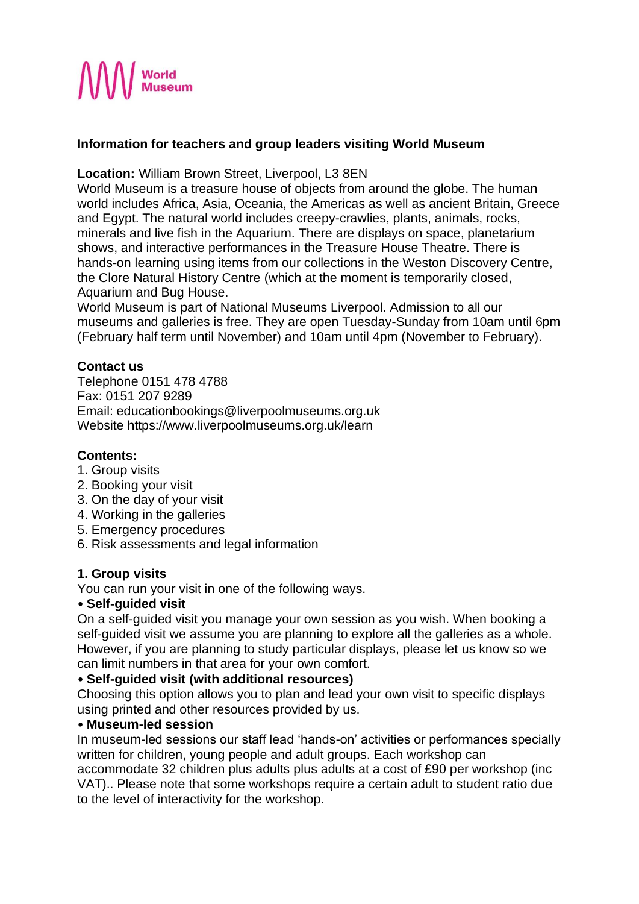

# **Information for teachers and group leaders visiting World Museum**

**Location:** William Brown Street, Liverpool, L3 8EN

World Museum is a treasure house of objects from around the globe. The human world includes Africa, Asia, Oceania, the Americas as well as ancient Britain, Greece and Egypt. The natural world includes creepy-crawlies, plants, animals, rocks, minerals and live fish in the Aquarium. There are displays on space, planetarium shows, and interactive performances in the Treasure House Theatre. There is hands-on learning using items from our collections in the Weston Discovery Centre, the Clore Natural History Centre (which at the moment is temporarily closed, Aquarium and Bug House.

World Museum is part of National Museums Liverpool. Admission to all our museums and galleries is free. They are open Tuesday-Sunday from 10am until 6pm (February half term until November) and 10am until 4pm (November to February).

# **Contact us**

Telephone 0151 478 4788 Fax: 0151 207 9289 Email: educationbookings@liverpoolmuseums.org.uk Website https://www.liverpoolmuseums.org.uk/learn

# **Contents:**

- 1. Group visits
- 2. Booking your visit
- 3. On the day of your visit
- 4. Working in the galleries
- 5. Emergency procedures
- 6. Risk assessments and legal information

# **1. Group visits**

You can run your visit in one of the following ways.

# • **Self-guided visit**

On a self-guided visit you manage your own session as you wish. When booking a self-guided visit we assume you are planning to explore all the galleries as a whole. However, if you are planning to study particular displays, please let us know so we can limit numbers in that area for your own comfort.

# • **Self-guided visit (with additional resources)**

Choosing this option allows you to plan and lead your own visit to specific displays using printed and other resources provided by us.

## • **Museum-led session**

In museum-led sessions our staff lead 'hands-on' activities or performances specially written for children, young people and adult groups. Each workshop can

accommodate 32 children plus adults plus adults at a cost of £90 per workshop (inc VAT).. Please note that some workshops require a certain adult to student ratio due to the level of interactivity for the workshop.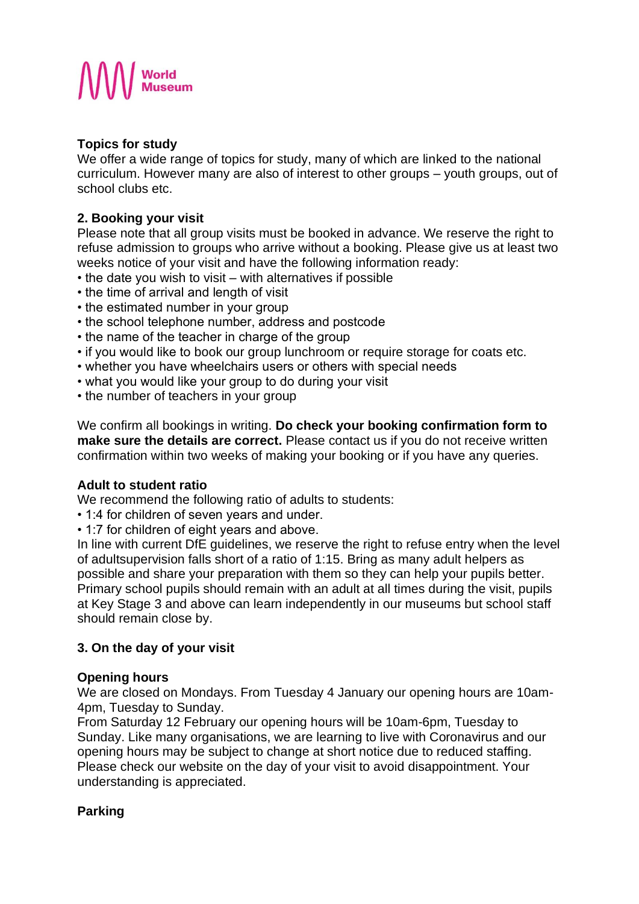

# **Topics for study**

We offer a wide range of topics for study, many of which are linked to the national curriculum. However many are also of interest to other groups – youth groups, out of school clubs etc.

# **2. Booking your visit**

Please note that all group visits must be booked in advance. We reserve the right to refuse admission to groups who arrive without a booking. Please give us at least two weeks notice of your visit and have the following information ready:

- the date you wish to visit with alternatives if possible
- the time of arrival and length of visit
- the estimated number in your group
- the school telephone number, address and postcode
- the name of the teacher in charge of the group
- if you would like to book our group lunchroom or require storage for coats etc.
- whether you have wheelchairs users or others with special needs
- what you would like your group to do during your visit
- the number of teachers in your group

We confirm all bookings in writing. **Do check your booking confirmation form to make sure the details are correct.** Please contact us if you do not receive written confirmation within two weeks of making your booking or if you have any queries.

# **Adult to student ratio**

We recommend the following ratio of adults to students:

- 1:4 for children of seven years and under.
- 1:7 for children of eight years and above.

In line with current DfE guidelines, we reserve the right to refuse entry when the level of adultsupervision falls short of a ratio of 1:15. Bring as many adult helpers as possible and share your preparation with them so they can help your pupils better. Primary school pupils should remain with an adult at all times during the visit, pupils at Key Stage 3 and above can learn independently in our museums but school staff should remain close by.

# **3. On the day of your visit**

## **Opening hours**

We are closed on Mondays. From Tuesday 4 January our opening hours are 10am-4pm, Tuesday to Sunday.

From Saturday 12 February our opening hours will be 10am-6pm, Tuesday to Sunday. Like many organisations, we are learning to live with Coronavirus and our opening hours may be subject to change at short notice due to reduced staffing. Please check our website on the day of your visit to avoid disappointment. Your understanding is appreciated.

# **Parking**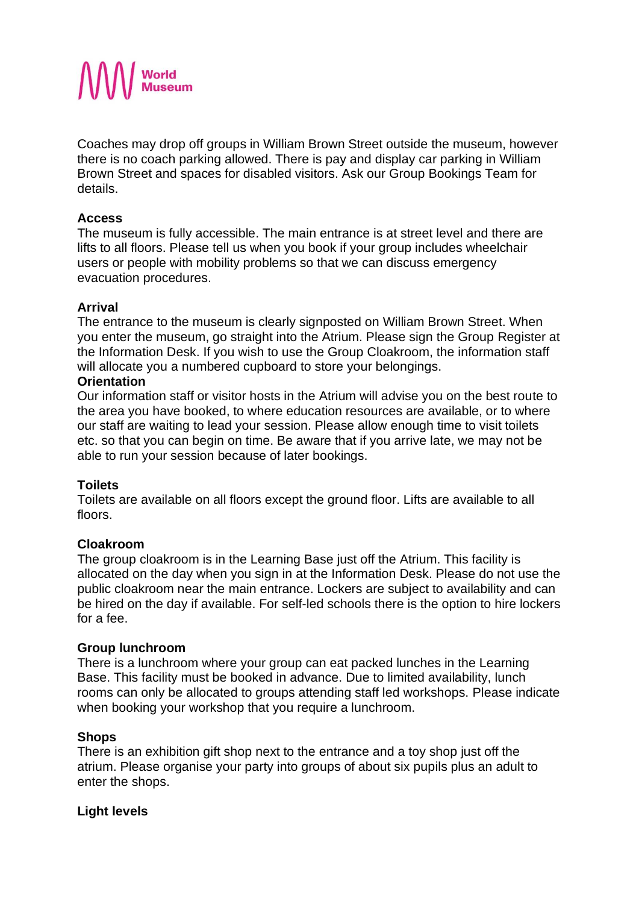

Coaches may drop off groups in William Brown Street outside the museum, however there is no coach parking allowed. There is pay and display car parking in William Brown Street and spaces for disabled visitors. Ask our Group Bookings Team for details.

## **Access**

The museum is fully accessible. The main entrance is at street level and there are lifts to all floors. Please tell us when you book if your group includes wheelchair users or people with mobility problems so that we can discuss emergency evacuation procedures.

## **Arrival**

The entrance to the museum is clearly signposted on William Brown Street. When you enter the museum, go straight into the Atrium. Please sign the Group Register at the Information Desk. If you wish to use the Group Cloakroom, the information staff will allocate you a numbered cupboard to store your belongings.

## **Orientation**

Our information staff or visitor hosts in the Atrium will advise you on the best route to the area you have booked, to where education resources are available, or to where our staff are waiting to lead your session. Please allow enough time to visit toilets etc. so that you can begin on time. Be aware that if you arrive late, we may not be able to run your session because of later bookings.

## **Toilets**

Toilets are available on all floors except the ground floor. Lifts are available to all floors.

## **Cloakroom**

The group cloakroom is in the Learning Base just off the Atrium. This facility is allocated on the day when you sign in at the Information Desk. Please do not use the public cloakroom near the main entrance. Lockers are subject to availability and can be hired on the day if available. For self-led schools there is the option to hire lockers for a fee.

## **Group lunchroom**

There is a lunchroom where your group can eat packed lunches in the Learning Base. This facility must be booked in advance. Due to limited availability, lunch rooms can only be allocated to groups attending staff led workshops. Please indicate when booking your workshop that you require a lunchroom.

## **Shops**

There is an exhibition gift shop next to the entrance and a toy shop just off the atrium. Please organise your party into groups of about six pupils plus an adult to enter the shops.

## **Light levels**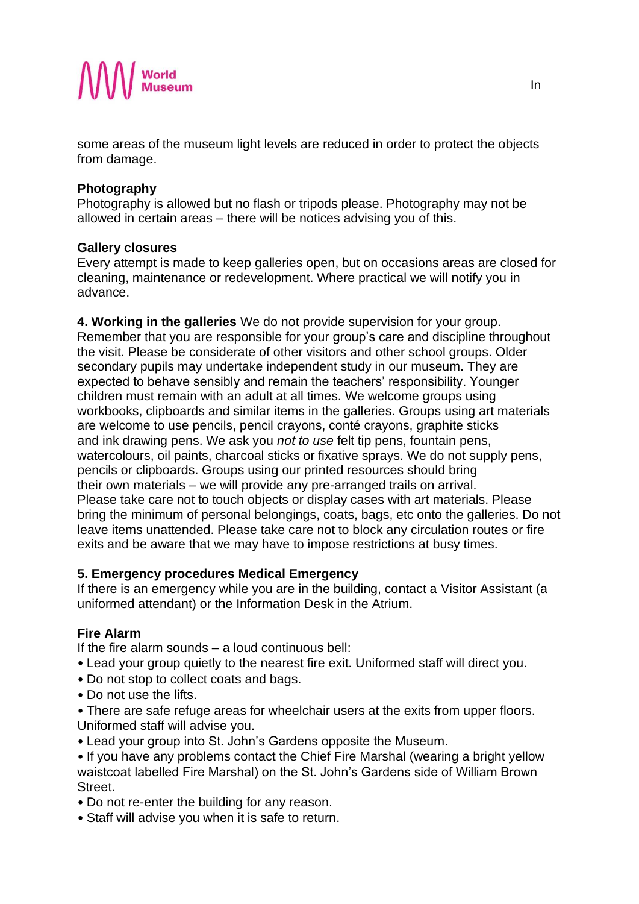

some areas of the museum light levels are reduced in order to protect the objects from damage.

## **Photography**

Photography is allowed but no flash or tripods please. Photography may not be allowed in certain areas – there will be notices advising you of this.

## **Gallery closures**

Every attempt is made to keep galleries open, but on occasions areas are closed for cleaning, maintenance or redevelopment. Where practical we will notify you in advance.

**4. Working in the galleries** We do not provide supervision for your group. Remember that you are responsible for your group's care and discipline throughout the visit. Please be considerate of other visitors and other school groups. Older secondary pupils may undertake independent study in our museum. They are expected to behave sensibly and remain the teachers' responsibility. Younger children must remain with an adult at all times. We welcome groups using workbooks, clipboards and similar items in the galleries. Groups using art materials are welcome to use pencils, pencil crayons, conté crayons, graphite sticks and ink drawing pens. We ask you *not to use* felt tip pens, fountain pens, watercolours, oil paints, charcoal sticks or fixative sprays. We do not supply pens, pencils or clipboards. Groups using our printed resources should bring their own materials – we will provide any pre-arranged trails on arrival. Please take care not to touch objects or display cases with art materials. Please bring the minimum of personal belongings, coats, bags, etc onto the galleries. Do not leave items unattended. Please take care not to block any circulation routes or fire exits and be aware that we may have to impose restrictions at busy times.

# **5. Emergency procedures Medical Emergency**

If there is an emergency while you are in the building, contact a Visitor Assistant (a uniformed attendant) or the Information Desk in the Atrium.

# **Fire Alarm**

If the fire alarm sounds – a loud continuous bell:

- Lead your group quietly to the nearest fire exit. Uniformed staff will direct you.
- Do not stop to collect coats and bags.
- Do not use the lifts.
- There are safe refuge areas for wheelchair users at the exits from upper floors. Uniformed staff will advise you.
- Lead your group into St. John's Gardens opposite the Museum.
- If you have any problems contact the Chief Fire Marshal (wearing a bright yellow waistcoat labelled Fire Marshal) on the St. John's Gardens side of William Brown **Street**
- Do not re-enter the building for any reason.
- Staff will advise you when it is safe to return.